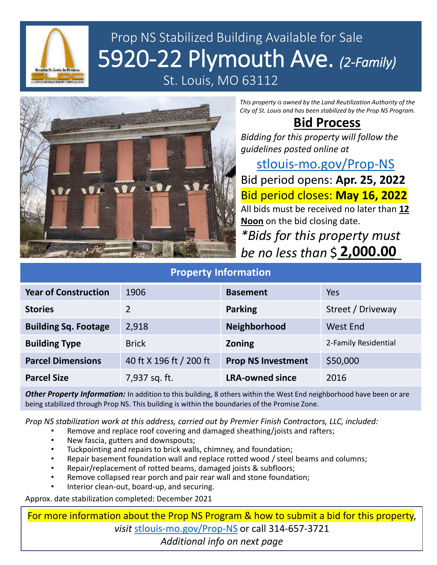

# Prop NS Stabilized Building Available for Sale 5920-22 Plymouth Ave. *(2-Family)*

St. Louis, MO 63112



*This property is owned by the Land Reutilization Authority of the City of St. Louis and has been stabilized by the Prop NS Program.*

## **Bid Process**

*Bidding for this property will follow the guidelines posted online at* 

[stlouis-mo.gov/Prop-NS](https://stlouis-mo.gov/Prop-NS) Bid period opens: **Apr. 25, 2022** Bid period closes: **May 16, 2022** All bids must be received no later than **12 Noon** on the bid closing date. *\*Bids for this property must be no less than* \$**\_\_\_\_\_\_\_\_**\_ **2,000.00**

#### **Property Information**

| <b>Year of Construction</b> | 1906                    | <b>Basement</b>           | Yes                  |
|-----------------------------|-------------------------|---------------------------|----------------------|
| <b>Stories</b>              | $\mathcal{P}$           | <b>Parking</b>            | Street / Driveway    |
| <b>Building Sq. Footage</b> | 2,918                   | Neighborhood              | West End             |
| <b>Building Type</b>        | <b>Brick</b>            | Zoning                    | 2-Family Residential |
| <b>Parcel Dimensions</b>    | 40 ft X 196 ft / 200 ft | <b>Prop NS Investment</b> | \$50,000             |
| <b>Parcel Size</b>          | 7,937 sq. ft.           | <b>LRA-owned since</b>    | 2016                 |

*Other Property Information:* In addition to this building, 8 others within the West End neighborhood have been or are being stabilized through Prop NS. This building is within the boundaries of the Promise Zone.

*Prop NS stabilization work at this address, carried out by Premier Finish Contractors, LLC, included:*

- Remove and replace roof covering and damaged sheathing/joists and rafters;
- New fascia, gutters and downspouts;
- Tuckpointing and repairs to brick walls, chimney, and foundation;
- Repair basement foundation wall and replace rotted wood / steel beams and columns;
- Repair/replacement of rotted beams, damaged joists & subfloors;
- Remove collapsed rear porch and pair rear wall and stone foundation;
- Interior clean-out, board-up, and securing.

Approx. date stabilization completed: December 2021

For more information about the Prop NS Program & how to submit a bid for this property, *visit* [stlouis-mo.gov/Prop-NS](https://stlouis-mo.gov/Prop-NS) or call 314-657-3721 *Additional info on next page*